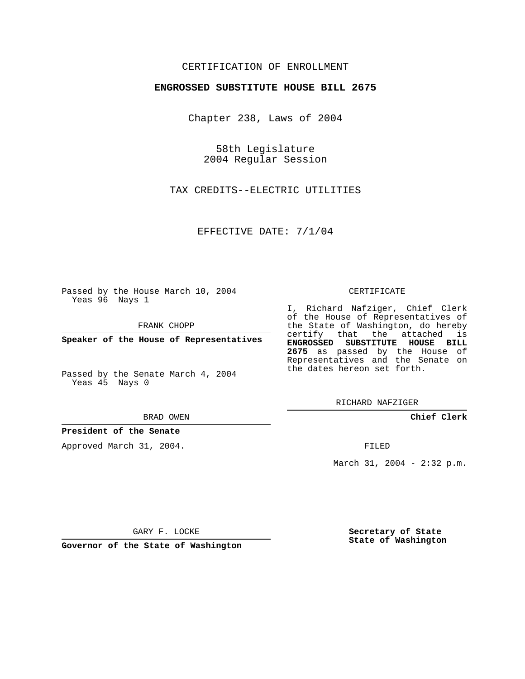## CERTIFICATION OF ENROLLMENT

### **ENGROSSED SUBSTITUTE HOUSE BILL 2675**

Chapter 238, Laws of 2004

58th Legislature 2004 Regular Session

TAX CREDITS--ELECTRIC UTILITIES

EFFECTIVE DATE: 7/1/04

Passed by the House March 10, 2004 Yeas 96 Nays 1

FRANK CHOPP

**Speaker of the House of Representatives**

Passed by the Senate March 4, 2004 Yeas 45 Nays 0

#### BRAD OWEN

## **President of the Senate**

Approved March 31, 2004.

#### CERTIFICATE

I, Richard Nafziger, Chief Clerk of the House of Representatives of the State of Washington, do hereby certify that the attached is **ENGROSSED SUBSTITUTE HOUSE BILL 2675** as passed by the House of Representatives and the Senate on the dates hereon set forth.

RICHARD NAFZIGER

**Chief Clerk**

FILED

March 31, 2004 - 2:32 p.m.

GARY F. LOCKE

**Governor of the State of Washington**

**Secretary of State State of Washington**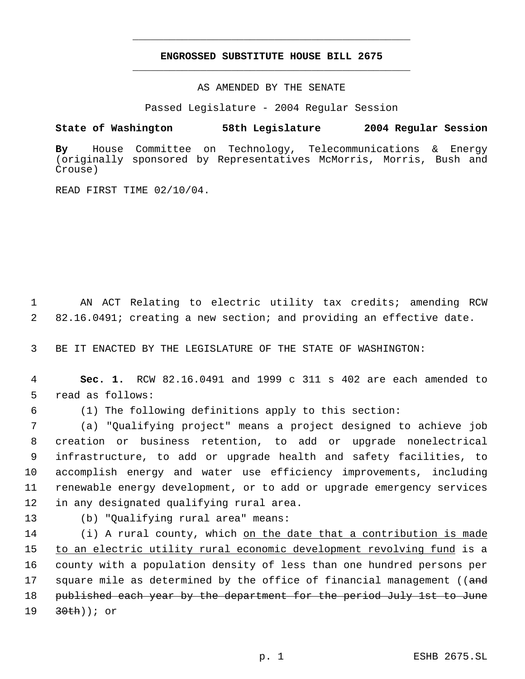# **ENGROSSED SUBSTITUTE HOUSE BILL 2675** \_\_\_\_\_\_\_\_\_\_\_\_\_\_\_\_\_\_\_\_\_\_\_\_\_\_\_\_\_\_\_\_\_\_\_\_\_\_\_\_\_\_\_\_\_

\_\_\_\_\_\_\_\_\_\_\_\_\_\_\_\_\_\_\_\_\_\_\_\_\_\_\_\_\_\_\_\_\_\_\_\_\_\_\_\_\_\_\_\_\_

AS AMENDED BY THE SENATE

Passed Legislature - 2004 Regular Session

### **State of Washington 58th Legislature 2004 Regular Session**

**By** House Committee on Technology, Telecommunications & Energy (originally sponsored by Representatives McMorris, Morris, Bush and Crouse)

READ FIRST TIME 02/10/04.

 1 AN ACT Relating to electric utility tax credits; amending RCW 2 82.16.0491; creating a new section; and providing an effective date.

3 BE IT ENACTED BY THE LEGISLATURE OF THE STATE OF WASHINGTON:

 4 **Sec. 1.** RCW 82.16.0491 and 1999 c 311 s 402 are each amended to 5 read as follows:

6 (1) The following definitions apply to this section:

 (a) "Qualifying project" means a project designed to achieve job creation or business retention, to add or upgrade nonelectrical infrastructure, to add or upgrade health and safety facilities, to accomplish energy and water use efficiency improvements, including renewable energy development, or to add or upgrade emergency services in any designated qualifying rural area.

13 (b) "Qualifying rural area" means:

14 (i) A rural county, which <u>on the date that a contribution is made</u> 15 to an electric utility rural economic development revolving fund is a 16 county with a population density of less than one hundred persons per 17 square mile as determined by the office of financial management ((and 18 published each year by the department for the period July 1st to June 19 30th)); or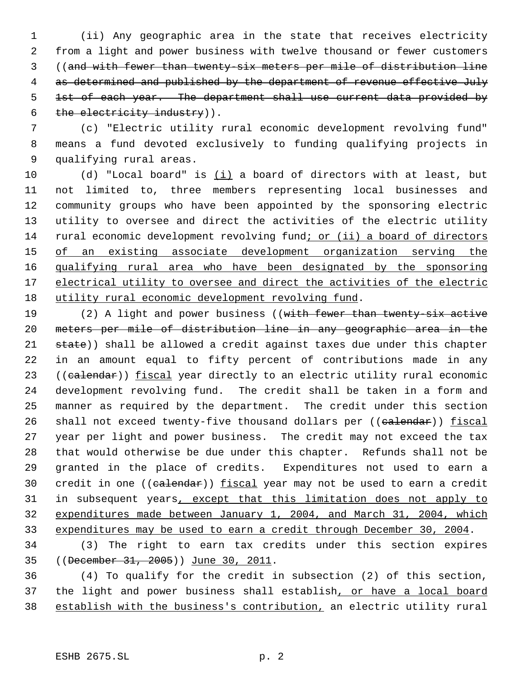(ii) Any geographic area in the state that receives electricity from a light and power business with twelve thousand or fewer customers ((and with fewer than twenty-six meters per mile of distribution line 4 as determined and published by the department of revenue effective July 1st of each year. The department shall use current data provided by 6 the electricity industry)).

 (c) "Electric utility rural economic development revolving fund" means a fund devoted exclusively to funding qualifying projects in qualifying rural areas.

 (d) "Local board" is (i) a board of directors with at least, but not limited to, three members representing local businesses and community groups who have been appointed by the sponsoring electric utility to oversee and direct the activities of the electric utility rural economic development revolving fund; or (ii) a board of directors of an existing associate development organization serving the qualifying rural area who have been designated by the sponsoring 17 electrical utility to oversee and direct the activities of the electric utility rural economic development revolving fund.

19 (2) A light and power business ((with fewer than twenty-six active meters per mile of distribution line in any geographic area in the 21 state)) shall be allowed a credit against taxes due under this chapter in an amount equal to fifty percent of contributions made in any 23 ((calendar)) fiscal year directly to an electric utility rural economic development revolving fund. The credit shall be taken in a form and manner as required by the department. The credit under this section 26 shall not exceed twenty-five thousand dollars per ((calendar)) fiscal year per light and power business. The credit may not exceed the tax that would otherwise be due under this chapter. Refunds shall not be granted in the place of credits. Expenditures not used to earn a 30 credit in one ((calendar)) fiscal year may not be used to earn a credit 31 in subsequent years, except that this limitation does not apply to expenditures made between January 1, 2004, and March 31, 2004, which expenditures may be used to earn a credit through December 30, 2004.

 (3) The right to earn tax credits under this section expires ((December 31, 2005)) June 30, 2011.

 (4) To qualify for the credit in subsection (2) of this section, 37 the light and power business shall establish, or have a local board establish with the business's contribution, an electric utility rural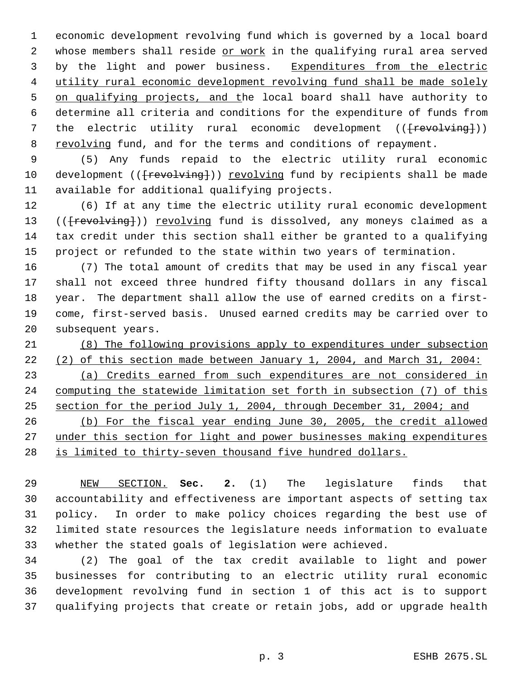economic development revolving fund which is governed by a local board 2 whose members shall reside or work in the qualifying rural area served 3 by the light and power business. Expenditures from the electric utility rural economic development revolving fund shall be made solely 5 on qualifying projects, and the local board shall have authority to determine all criteria and conditions for the expenditure of funds from 7 the electric utility rural economic development (( $\{$ revolving })) 8 revolving fund, and for the terms and conditions of repayment.

 (5) Any funds repaid to the electric utility rural economic 10 development (( $\{$ revolving})) revolving fund by recipients shall be made available for additional qualifying projects.

 (6) If at any time the electric utility rural economic development 13 ((<del>[revolving]</del>)) revolving fund is dissolved, any moneys claimed as a tax credit under this section shall either be granted to a qualifying project or refunded to the state within two years of termination.

 (7) The total amount of credits that may be used in any fiscal year shall not exceed three hundred fifty thousand dollars in any fiscal year. The department shall allow the use of earned credits on a first- come, first-served basis. Unused earned credits may be carried over to subsequent years.

 (8) The following provisions apply to expenditures under subsection (2) of this section made between January 1, 2004, and March 31, 2004: (a) Credits earned from such expenditures are not considered in computing the statewide limitation set forth in subsection (7) of this section for the period July 1, 2004, through December 31, 2004; and (b) For the fiscal year ending June 30, 2005, the credit allowed under this section for light and power businesses making expenditures is limited to thirty-seven thousand five hundred dollars.

 NEW SECTION. **Sec. 2.** (1) The legislature finds that accountability and effectiveness are important aspects of setting tax policy. In order to make policy choices regarding the best use of limited state resources the legislature needs information to evaluate whether the stated goals of legislation were achieved.

 (2) The goal of the tax credit available to light and power businesses for contributing to an electric utility rural economic development revolving fund in section 1 of this act is to support qualifying projects that create or retain jobs, add or upgrade health